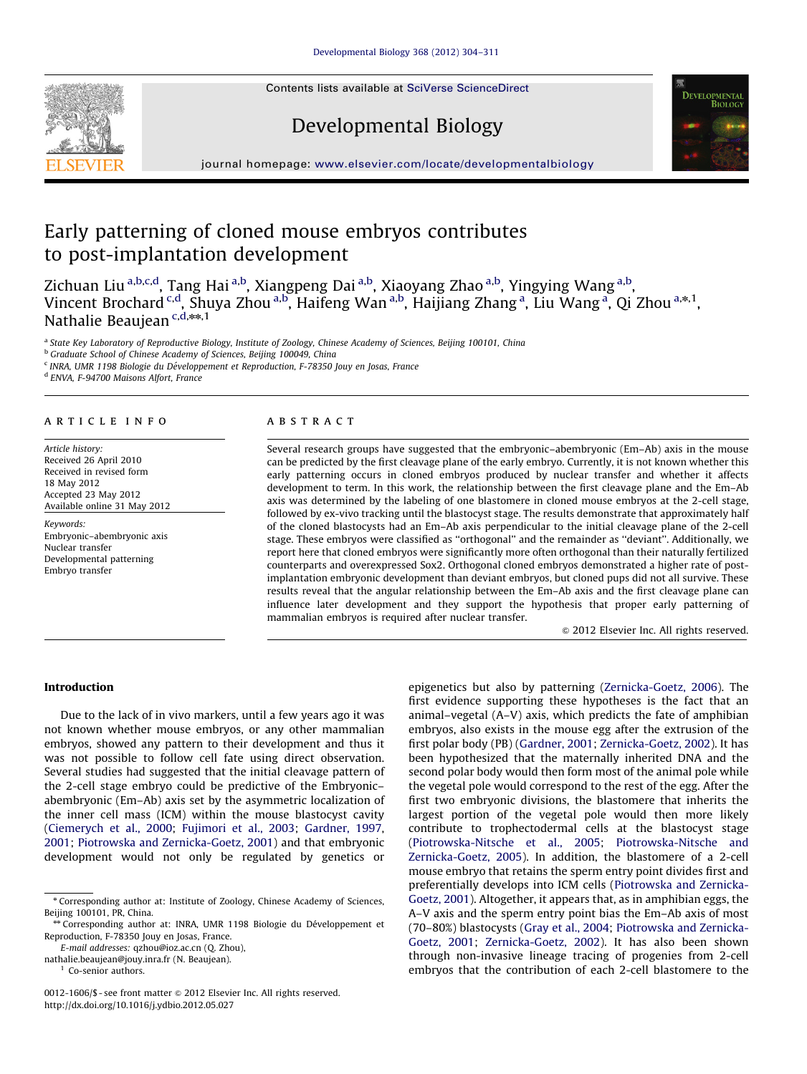Contents lists available at [SciVerse ScienceDirect](www.elsevier.com/locate/developmentalbiology)





# Developmental Biology

journal homepage: <www.elsevier.com/locate/developmentalbiology>

# Early patterning of cloned mouse embryos contributes to post-implantation development

Zichuan Liu <sup>a,b,c,d</sup>, Tang Hai <sup>a,b</sup>, Xiangpeng Dai <sup>a,b</sup>, Xiaoyang Zhao <sup>a,b</sup>, Yingying Wang <sup>a,b</sup>, Vincent Brochard <sup>c,d</sup>, Shuya Zhou <sup>a,b</sup>, Haifeng Wan <sup>a,b</sup>, Haijiang Zhang <sup>a</sup>, Liu Wang <sup>a</sup>, Qi Zhou <sup>a,\*, 1</sup>, Nathalie Beaujean <sup>c,d,</sup>\*\*,<sup>1</sup>

a State Key Laboratory of Reproductive Biology, Institute of Zoology, Chinese Academy of Sciences, Beijing 100101, China

<sup>b</sup> Graduate School of Chinese Academy of Sciences, Beijing 100049, China

c INRA, UMR 1198 Biologie du Développement et Reproduction, F-78350 Jouy en Josas, France

<sup>d</sup> ENVA, F-94700 Maisons Alfort, France

## article info

Article history: Received 26 April 2010 Received in revised form 18 May 2012 Accepted 23 May 2012 Available online 31 May 2012

Keywords: Embryonic–abembryonic axis Nuclear transfer Developmental patterning Embryo transfer

# **ABSTRACT**

Several research groups have suggested that the embryonic–abembryonic (Em–Ab) axis in the mouse can be predicted by the first cleavage plane of the early embryo. Currently, it is not known whether this early patterning occurs in cloned embryos produced by nuclear transfer and whether it affects development to term. In this work, the relationship between the first cleavage plane and the Em–Ab axis was determined by the labeling of one blastomere in cloned mouse embryos at the 2-cell stage, followed by ex-vivo tracking until the blastocyst stage. The results demonstrate that approximately half of the cloned blastocysts had an Em–Ab axis perpendicular to the initial cleavage plane of the 2-cell stage. These embryos were classified as ''orthogonal'' and the remainder as ''deviant''. Additionally, we report here that cloned embryos were significantly more often orthogonal than their naturally fertilized counterparts and overexpressed Sox2. Orthogonal cloned embryos demonstrated a higher rate of postimplantation embryonic development than deviant embryos, but cloned pups did not all survive. These results reveal that the angular relationship between the Em–Ab axis and the first cleavage plane can influence later development and they support the hypothesis that proper early patterning of mammalian embryos is required after nuclear transfer.

 $\odot$  2012 Elsevier Inc. All rights reserved.

# Introduction

Due to the lack of in vivo markers, until a few years ago it was not known whether mouse embryos, or any other mammalian embryos, showed any pattern to their development and thus it was not possible to follow cell fate using direct observation. Several studies had suggested that the initial cleavage pattern of the 2-cell stage embryo could be predictive of the Embryonic– abembryonic (Em–Ab) axis set by the asymmetric localization of the inner cell mass (ICM) within the mouse blastocyst cavity ([Ciemerych et al., 2000](#page-7-0); [Fujimori et al., 2003;](#page-7-0) [Gardner, 1997,](#page-7-0) [2001;](#page-7-0) [Piotrowska and Zernicka-Goetz, 2001\)](#page-7-0) and that embryonic development would not only be regulated by genetics or

E-mail addresses: [qzhou@ioz.ac.cn \(Q. Zhou\),](mailto:qzhou@ioz.ac.cn)

[nathalie.beaujean@jouy.inra.fr \(N. Beaujean\)](mailto:nathalie.beaujean@jouy.inra.fr).

<sup>1</sup> Co-senior authors.

epigenetics but also by patterning [\(Zernicka-Goetz, 2006\)](#page-7-0). The first evidence supporting these hypotheses is the fact that an animal–vegetal (A–V) axis, which predicts the fate of amphibian embryos, also exists in the mouse egg after the extrusion of the first polar body (PB) ([Gardner, 2001](#page-7-0); [Zernicka-Goetz, 2002\)](#page-7-0). It has been hypothesized that the maternally inherited DNA and the second polar body would then form most of the animal pole while the vegetal pole would correspond to the rest of the egg. After the first two embryonic divisions, the blastomere that inherits the largest portion of the vegetal pole would then more likely contribute to trophectodermal cells at the blastocyst stage ([Piotrowska-Nitsche et al., 2005](#page-7-0); [Piotrowska-Nitsche and](#page-7-0) [Zernicka-Goetz, 2005\)](#page-7-0). In addition, the blastomere of a 2-cell mouse embryo that retains the sperm entry point divides first and preferentially develops into ICM cells ([Piotrowska and Zernicka-](#page-7-0)[Goetz, 2001\)](#page-7-0). Altogether, it appears that, as in amphibian eggs, the A–V axis and the sperm entry point bias the Em–Ab axis of most (70–80%) blastocysts [\(Gray et al., 2004;](#page-7-0) [Piotrowska and Zernicka-](#page-7-0)[Goetz, 2001](#page-7-0); [Zernicka-Goetz, 2002](#page-7-0)). It has also been shown through non-invasive lineage tracing of progenies from 2-cell embryos that the contribution of each 2-cell blastomere to the

<sup>n</sup> Corresponding author at: Institute of Zoology, Chinese Academy of Sciences, Beijing 100101, PR, China.

Corresponding author at: INRA, UMR 1198 Biologie du Développement et Reproduction, F-78350 Jouy en Josas, France.

<sup>0012-1606/\$ -</sup> see front matter  $\circ$  2012 Elsevier Inc. All rights reserved. [http://dx.doi.org/10.1016/j.ydbio.2012.05.027](dx.doi.org/10.1016/j.ydbio.2012.05.027)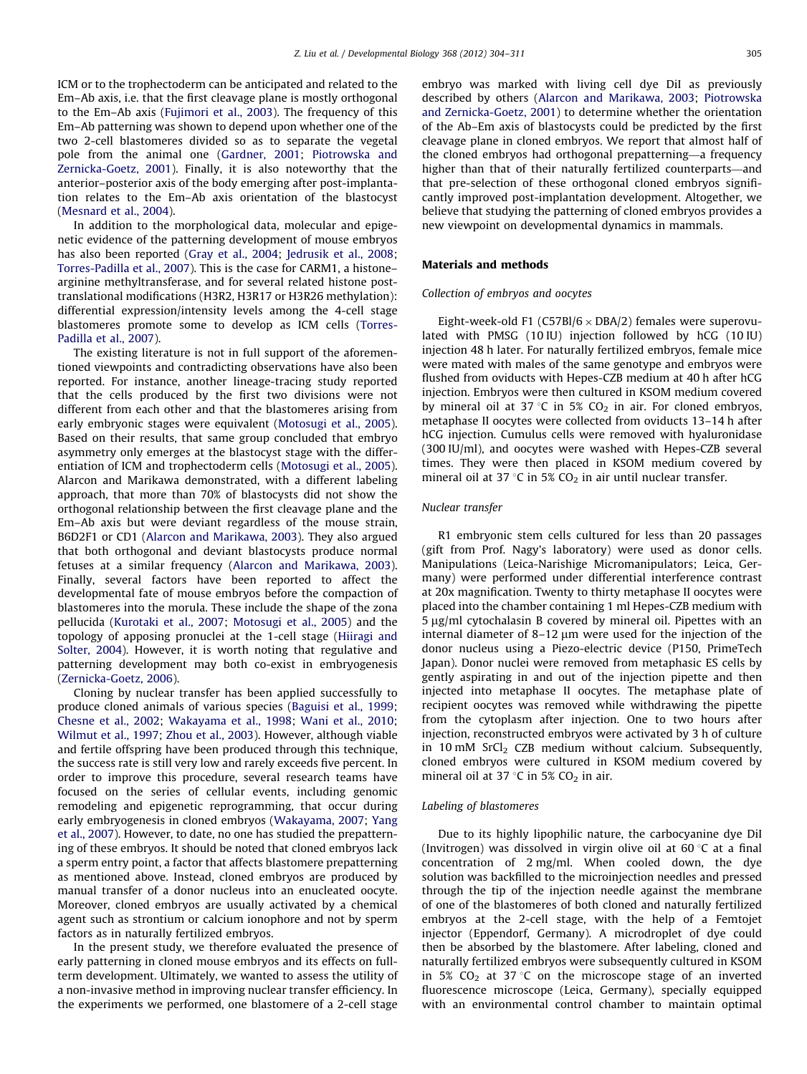ICM or to the trophectoderm can be anticipated and related to the Em–Ab axis, i.e. that the first cleavage plane is mostly orthogonal to the Em–Ab axis ([Fujimori et al., 2003](#page-7-0)). The frequency of this Em–Ab patterning was shown to depend upon whether one of the two 2-cell blastomeres divided so as to separate the vegetal pole from the animal one [\(Gardner, 2001;](#page-7-0) [Piotrowska and](#page-7-0) [Zernicka-Goetz, 2001\)](#page-7-0). Finally, it is also noteworthy that the anterior–posterior axis of the body emerging after post-implantation relates to the Em–Ab axis orientation of the blastocyst ([Mesnard et al., 2004\)](#page-7-0).

In addition to the morphological data, molecular and epigenetic evidence of the patterning development of mouse embryos has also been reported [\(Gray et al., 2004](#page-7-0); [Jedrusik et al., 2008;](#page-7-0) [Torres-Padilla et al., 2007](#page-7-0)). This is the case for CARM1, a histone– arginine methyltransferase, and for several related histone posttranslational modifications (H3R2, H3R17 or H3R26 methylation): differential expression/intensity levels among the 4-cell stage blastomeres promote some to develop as ICM cells [\(Torres-](#page-7-0)[Padilla et al., 2007\)](#page-7-0).

The existing literature is not in full support of the aforementioned viewpoints and contradicting observations have also been reported. For instance, another lineage-tracing study reported that the cells produced by the first two divisions were not different from each other and that the blastomeres arising from early embryonic stages were equivalent [\(Motosugi et al., 2005\)](#page-7-0). Based on their results, that same group concluded that embryo asymmetry only emerges at the blastocyst stage with the differentiation of ICM and trophectoderm cells [\(Motosugi et al., 2005\)](#page-7-0). Alarcon and Marikawa demonstrated, with a different labeling approach, that more than 70% of blastocysts did not show the orthogonal relationship between the first cleavage plane and the Em–Ab axis but were deviant regardless of the mouse strain, B6D2F1 or CD1 ([Alarcon and Marikawa, 2003\)](#page-6-0). They also argued that both orthogonal and deviant blastocysts produce normal fetuses at a similar frequency [\(Alarcon and Marikawa, 2003\)](#page-6-0). Finally, several factors have been reported to affect the developmental fate of mouse embryos before the compaction of blastomeres into the morula. These include the shape of the zona pellucida [\(Kurotaki et al., 2007;](#page-7-0) [Motosugi et al., 2005](#page-7-0)) and the topology of apposing pronuclei at the 1-cell stage ([Hiiragi and](#page-7-0) [Solter, 2004](#page-7-0)). However, it is worth noting that regulative and patterning development may both co-exist in embryogenesis ([Zernicka-Goetz, 2006\)](#page-7-0).

Cloning by nuclear transfer has been applied successfully to produce cloned animals of various species [\(Baguisi et al., 1999;](#page-7-0) [Chesne et al., 2002;](#page-7-0) [Wakayama et al., 1998;](#page-7-0) [Wani et al., 2010;](#page-7-0) [Wilmut et al., 1997](#page-7-0); [Zhou et al., 2003](#page-7-0)). However, although viable and fertile offspring have been produced through this technique, the success rate is still very low and rarely exceeds five percent. In order to improve this procedure, several research teams have focused on the series of cellular events, including genomic remodeling and epigenetic reprogramming, that occur during early embryogenesis in cloned embryos [\(Wakayama, 2007;](#page-7-0) [Yang](#page-7-0) [et al., 2007](#page-7-0)). However, to date, no one has studied the prepatterning of these embryos. It should be noted that cloned embryos lack a sperm entry point, a factor that affects blastomere prepatterning as mentioned above. Instead, cloned embryos are produced by manual transfer of a donor nucleus into an enucleated oocyte. Moreover, cloned embryos are usually activated by a chemical agent such as strontium or calcium ionophore and not by sperm factors as in naturally fertilized embryos.

In the present study, we therefore evaluated the presence of early patterning in cloned mouse embryos and its effects on fullterm development. Ultimately, we wanted to assess the utility of a non-invasive method in improving nuclear transfer efficiency. In the experiments we performed, one blastomere of a 2-cell stage

embryo was marked with living cell dye DiI as previously described by others ([Alarcon and Marikawa, 2003;](#page-6-0) [Piotrowska](#page-7-0) [and Zernicka-Goetz, 2001\)](#page-7-0) to determine whether the orientation of the Ab–Em axis of blastocysts could be predicted by the first cleavage plane in cloned embryos. We report that almost half of the cloned embryos had orthogonal prepatterning—a frequency higher than that of their naturally fertilized counterparts—and that pre-selection of these orthogonal cloned embryos significantly improved post-implantation development. Altogether, we believe that studying the patterning of cloned embryos provides a new viewpoint on developmental dynamics in mammals.

# Materials and methods

#### Collection of embryos and oocytes

Eight-week-old F1 (C57Bl/ $6 \times DBA/2$ ) females were superovulated with PMSG (10 IU) injection followed by hCG (10 IU) injection 48 h later. For naturally fertilized embryos, female mice were mated with males of the same genotype and embryos were flushed from oviducts with Hepes-CZB medium at 40 h after hCG injection. Embryos were then cultured in KSOM medium covered by mineral oil at 37 °C in 5%  $CO<sub>2</sub>$  in air. For cloned embryos, metaphase II oocytes were collected from oviducts 13–14 h after hCG injection. Cumulus cells were removed with hyaluronidase (300 IU/ml), and oocytes were washed with Hepes-CZB several times. They were then placed in KSOM medium covered by mineral oil at 37 °C in 5%  $CO<sub>2</sub>$  in air until nuclear transfer.

## Nuclear transfer

R1 embryonic stem cells cultured for less than 20 passages (gift from Prof. Nagy's laboratory) were used as donor cells. Manipulations (Leica-Narishige Micromanipulators; Leica, Germany) were performed under differential interference contrast at 20x magnification. Twenty to thirty metaphase II oocytes were placed into the chamber containing 1 ml Hepes-CZB medium with  $5 \mu g/ml$  cytochalasin B covered by mineral oil. Pipettes with an internal diameter of  $8-12 \mu m$  were used for the injection of the donor nucleus using a Piezo-electric device (P150, PrimeTech Japan). Donor nuclei were removed from metaphasic ES cells by gently aspirating in and out of the injection pipette and then injected into metaphase II oocytes. The metaphase plate of recipient oocytes was removed while withdrawing the pipette from the cytoplasm after injection. One to two hours after injection, reconstructed embryos were activated by 3 h of culture in 10 mM  $SrCl<sub>2</sub>$  CZB medium without calcium. Subsequently, cloned embryos were cultured in KSOM medium covered by mineral oil at 37 °C in 5%  $CO<sub>2</sub>$  in air.

#### Labeling of blastomeres

Due to its highly lipophilic nature, the carbocyanine dye DiI (Invitrogen) was dissolved in virgin olive oil at  $60^{\circ}$ C at a final concentration of 2 mg/ml. When cooled down, the dye solution was backfilled to the microinjection needles and pressed through the tip of the injection needle against the membrane of one of the blastomeres of both cloned and naturally fertilized embryos at the 2-cell stage, with the help of a Femtojet injector (Eppendorf, Germany). A microdroplet of dye could then be absorbed by the blastomere. After labeling, cloned and naturally fertilized embryos were subsequently cultured in KSOM in 5% CO<sub>2</sub> at 37 °C on the microscope stage of an inverted fluorescence microscope (Leica, Germany), specially equipped with an environmental control chamber to maintain optimal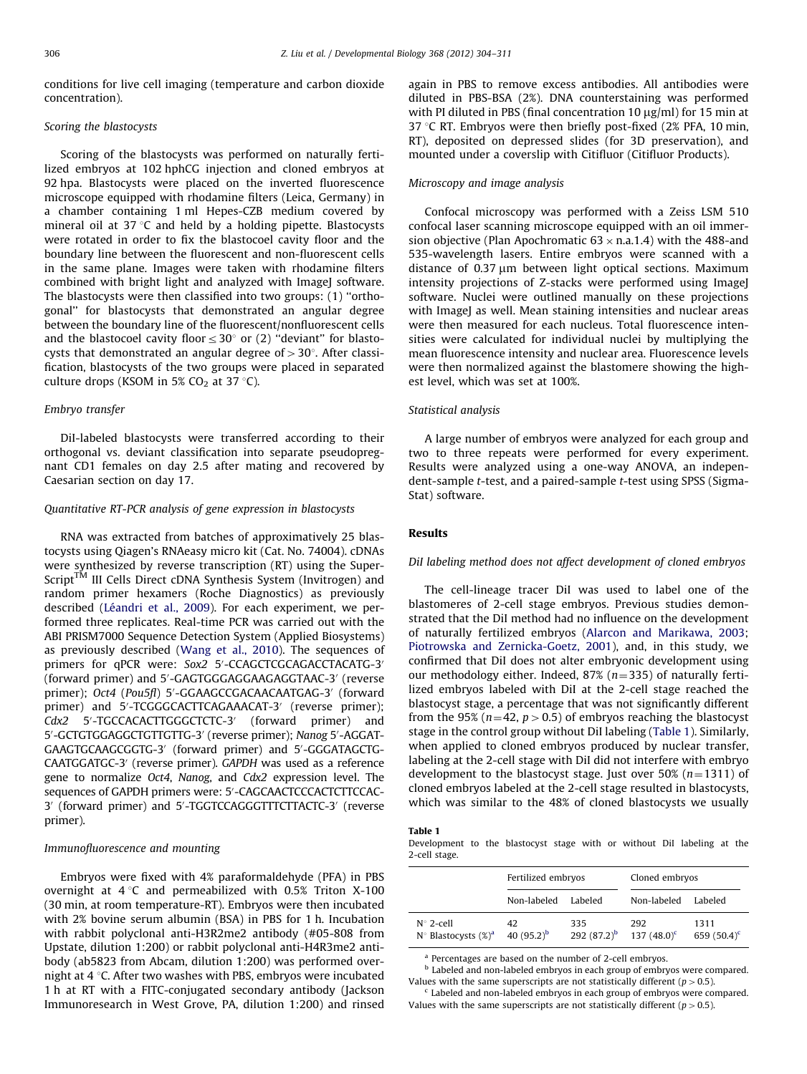<span id="page-2-0"></span>conditions for live cell imaging (temperature and carbon dioxide concentration).

# Scoring the blastocysts

Scoring of the blastocysts was performed on naturally fertilized embryos at 102 hphCG injection and cloned embryos at 92 hpa. Blastocysts were placed on the inverted fluorescence microscope equipped with rhodamine filters (Leica, Germany) in a chamber containing 1 ml Hepes-CZB medium covered by mineral oil at  $37^{\circ}$ C and held by a holding pipette. Blastocysts were rotated in order to fix the blastocoel cavity floor and the boundary line between the fluorescent and non-fluorescent cells in the same plane. Images were taken with rhodamine filters combined with bright light and analyzed with ImageJ software. The blastocysts were then classified into two groups: (1) ''orthogonal'' for blastocysts that demonstrated an angular degree between the boundary line of the fluorescent/nonfluorescent cells and the blastocoel cavity floor  $\leq 30^\circ$  or (2) "deviant" for blastocysts that demonstrated an angular degree of  $>30^{\circ}$ . After classification, blastocysts of the two groups were placed in separated culture drops (KSOM in 5%  $CO<sub>2</sub>$  at 37 °C).

#### Embryo transfer

DiI-labeled blastocysts were transferred according to their orthogonal vs. deviant classification into separate pseudopregnant CD1 females on day 2.5 after mating and recovered by Caesarian section on day 17.

# Quantitative RT-PCR analysis of gene expression in blastocysts

RNA was extracted from batches of approximatively 25 blastocysts using Qiagen's RNAeasy micro kit (Cat. No. 74004). cDNAs were synthesized by reverse transcription (RT) using the Super-Script<sup>TM</sup> III Cells Direct cDNA Synthesis System (Invitrogen) and random primer hexamers (Roche Diagnostics) as previously described (Léandri et al., 2009). For each experiment, we performed three replicates. Real-time PCR was carried out with the ABI PRISM7000 Sequence Detection System (Applied Biosystems) as previously described [\(Wang et al., 2010\)](#page-7-0). The sequences of primers for qPCR were: Sox2 5'-CCAGCTCGCAGACCTACATG-3' (forward primer) and 5'-GAGTGGGAGGAAGAGGTAAC-3' (reverse primer); Oct4 (Pou5fl) 5'-GGAAGCCGACAACAATGAG-3' (forward primer) and 5'-TCGGGCACTTCAGAAACAT-3' (reverse primer); Cdx2 5'-TGCCACACTTGGGCTCTC-3' (forward primer) and 5'-GCTGTGGAGGCTGTTGTTG-3' (reverse primer); Nanog 5'-AGGAT-GAAGTGCAAGCGGTG-3' (forward primer) and 5'-GGGATAGCTG-CAATGGATGC-3' (reverse primer). GAPDH was used as a reference gene to normalize Oct4, Nanog, and Cdx2 expression level. The sequences of GAPDH primers were: 5'-CAGCAACTCCCACTCTTCCAC-3' (forward primer) and 5'-TGGTCCAGGGTTTCTTACTC-3' (reverse primer).

# Immunofluorescence and mounting

Embryos were fixed with 4% paraformaldehyde (PFA) in PBS overnight at  $4^{\circ}$ C and permeabilized with 0.5% Triton X-100 (30 min, at room temperature-RT). Embryos were then incubated with 2% bovine serum albumin (BSA) in PBS for 1 h. Incubation with rabbit polyclonal anti-H3R2me2 antibody (#05-808 from Upstate, dilution 1:200) or rabbit polyclonal anti-H4R3me2 antibody (ab5823 from Abcam, dilution 1:200) was performed overnight at  $4 \degree$ C. After two washes with PBS, embryos were incubated 1 h at RT with a FITC-conjugated secondary antibody (Jackson Immunoresearch in West Grove, PA, dilution 1:200) and rinsed again in PBS to remove excess antibodies. All antibodies were diluted in PBS-BSA (2%). DNA counterstaining was performed with PI diluted in PBS (final concentration 10  $\mu$ g/ml) for 15 min at 37 °C RT. Embryos were then briefly post-fixed (2% PFA, 10 min, RT), deposited on depressed slides (for 3D preservation), and mounted under a coverslip with Citifluor (Citifluor Products).

#### Microscopy and image analysis

Confocal microscopy was performed with a Zeiss LSM 510 confocal laser scanning microscope equipped with an oil immersion objective (Plan Apochromatic  $63 \times n.a.1.4$ ) with the 488-and 535-wavelength lasers. Entire embryos were scanned with a distance of  $0.37 \mu m$  between light optical sections. Maximum intensity projections of Z-stacks were performed using ImageJ software. Nuclei were outlined manually on these projections with ImageJ as well. Mean staining intensities and nuclear areas were then measured for each nucleus. Total fluorescence intensities were calculated for individual nuclei by multiplying the mean fluorescence intensity and nuclear area. Fluorescence levels were then normalized against the blastomere showing the highest level, which was set at 100%.

# Statistical analysis

A large number of embryos were analyzed for each group and two to three repeats were performed for every experiment. Results were analyzed using a one-way ANOVA, an independent-sample t-test, and a paired-sample t-test using SPSS (Sigma-Stat) software.

#### Results

# DiI labeling method does not affect development of cloned embryos

The cell-lineage tracer DiI was used to label one of the blastomeres of 2-cell stage embryos. Previous studies demonstrated that the DiI method had no influence on the development of naturally fertilized embryos [\(Alarcon and Marikawa, 2003;](#page-6-0) [Piotrowska and Zernicka-Goetz, 2001\)](#page-7-0), and, in this study, we confirmed that DiI does not alter embryonic development using our methodology either. Indeed, 87% ( $n=335$ ) of naturally fertilized embryos labeled with DiI at the 2-cell stage reached the blastocyst stage, a percentage that was not significantly different from the 95% ( $n=42$ ,  $p>0.5$ ) of embryos reaching the blastocyst stage in the control group without DiI labeling (Table 1). Similarly, when applied to cloned embryos produced by nuclear transfer, labeling at the 2-cell stage with DiI did not interfere with embryo development to the blastocyst stage. Just over 50%  $(n=1311)$  of cloned embryos labeled at the 2-cell stage resulted in blastocysts, which was similar to the 48% of cloned blastocysts we usually

#### Table 1

Development to the blastocyst stage with or without DiI labeling at the 2-cell stage.

|                                                        | Fertilized embryos    |                       | Cloned embryos        |                        |
|--------------------------------------------------------|-----------------------|-----------------------|-----------------------|------------------------|
|                                                        | Non-labeled           | Labeled               | Non-labeled           | Labeled                |
| $N^{\circ}$ 2-cell<br>$N^{\circ}$ Blastocysts $(\%)^a$ | 42<br>40 $(95.2)^{b}$ | 335<br>292 $(87.2)^b$ | 292<br>137 $(48.0)^c$ | 1311<br>659 $(50.4)^c$ |

<sup>a</sup> Percentages are based on the number of 2-cell embryos.

**b** Labeled and non-labeled embryos in each group of embryos were compared. Values with the same superscripts are not statistically different ( $p > 0.5$ ).

<sup>c</sup> Labeled and non-labeled embryos in each group of embryos were compared. Values with the same superscripts are not statistically different ( $p > 0.5$ ).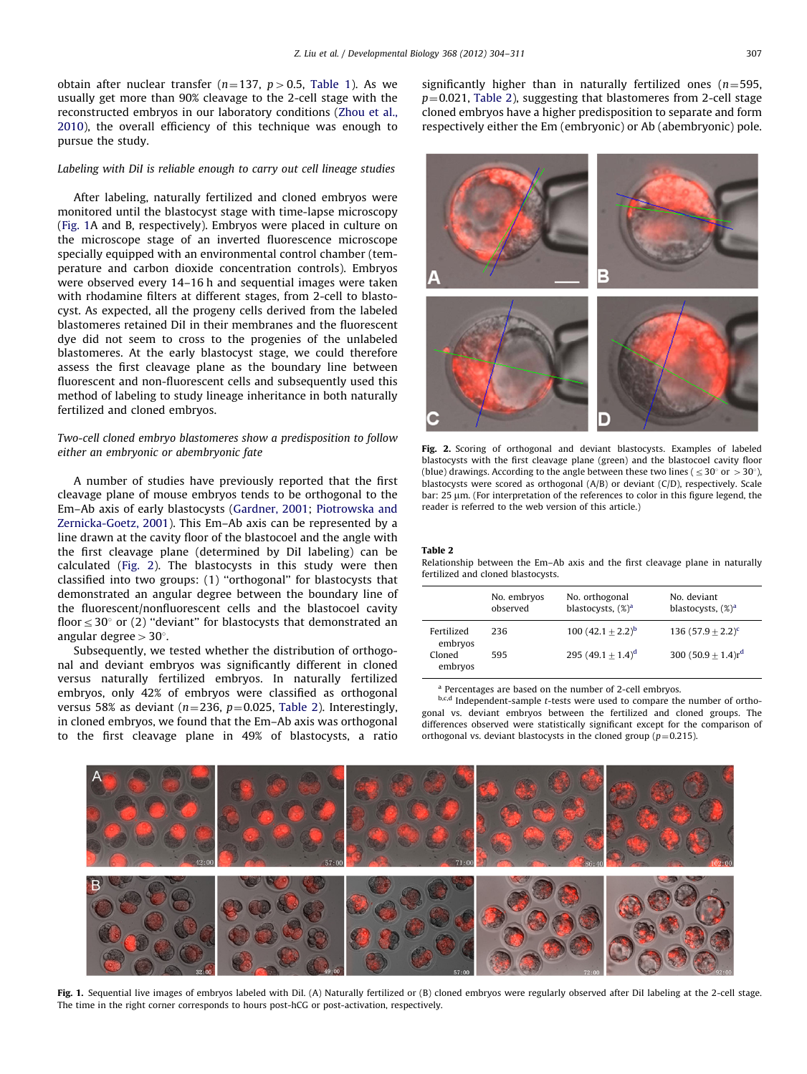obtain after nuclear transfer ( $n=137$ ,  $p>0.5$ , [Table 1](#page-2-0)). As we usually get more than 90% cleavage to the 2-cell stage with the reconstructed embryos in our laboratory conditions [\(Zhou et al.,](#page-7-0) [2010\)](#page-7-0), the overall efficiency of this technique was enough to pursue the study.

# Labeling with DiI is reliable enough to carry out cell lineage studies

After labeling, naturally fertilized and cloned embryos were monitored until the blastocyst stage with time-lapse microscopy (Fig. 1A and B, respectively). Embryos were placed in culture on the microscope stage of an inverted fluorescence microscope specially equipped with an environmental control chamber (temperature and carbon dioxide concentration controls). Embryos were observed every 14–16 h and sequential images were taken with rhodamine filters at different stages, from 2-cell to blastocyst. As expected, all the progeny cells derived from the labeled blastomeres retained DiI in their membranes and the fluorescent dye did not seem to cross to the progenies of the unlabeled blastomeres. At the early blastocyst stage, we could therefore assess the first cleavage plane as the boundary line between fluorescent and non-fluorescent cells and subsequently used this method of labeling to study lineage inheritance in both naturally fertilized and cloned embryos.

# Two-cell cloned embryo blastomeres show a predisposition to follow either an embryonic or abembryonic fate

A number of studies have previously reported that the first cleavage plane of mouse embryos tends to be orthogonal to the Em–Ab axis of early blastocysts [\(Gardner, 2001;](#page-7-0) [Piotrowska and](#page-7-0) [Zernicka-Goetz, 2001\)](#page-7-0). This Em–Ab axis can be represented by a line drawn at the cavity floor of the blastocoel and the angle with the first cleavage plane (determined by DiI labeling) can be calculated (Fig. 2). The blastocysts in this study were then classified into two groups: (1) ''orthogonal'' for blastocysts that demonstrated an angular degree between the boundary line of the fluorescent/nonfluorescent cells and the blastocoel cavity floor  $\leq$  30 $\degree$  or (2) "deviant" for blastocysts that demonstrated an angular degree  $>30^\circ$ .

Subsequently, we tested whether the distribution of orthogonal and deviant embryos was significantly different in cloned versus naturally fertilized embryos. In naturally fertilized embryos, only 42% of embryos were classified as orthogonal versus 58% as deviant ( $n=236$ ,  $p=0.025$ , Table 2). Interestingly, in cloned embryos, we found that the Em–Ab axis was orthogonal to the first cleavage plane in 49% of blastocysts, a ratio significantly higher than in naturally fertilized ones ( $n=595$ ,  $p=0.021$ , Table 2), suggesting that blastomeres from 2-cell stage cloned embryos have a higher predisposition to separate and form respectively either the Em (embryonic) or Ab (abembryonic) pole.



Fig. 2. Scoring of orthogonal and deviant blastocysts. Examples of labeled blastocysts with the first cleavage plane (green) and the blastocoel cavity floor (blue) drawings. According to the angle between these two lines ( $\leq 30^{\circ}$  or  $> 30^{\circ}$ ), blastocysts were scored as orthogonal (A/B) or deviant (C/D), respectively. Scale bar:  $25 \mu m$ . (For interpretation of the references to color in this figure legend, the reader is referred to the web version of this article.)

#### Table 2

Relationship between the Em–Ab axis and the first cleavage plane in naturally fertilized and cloned blastocysts.

|                       | No. embryos<br>observed | No. orthogonal<br>blastocysts, $(\%)^a$ | No. deviant<br>blastocysts, $(\%)^a$ |
|-----------------------|-------------------------|-----------------------------------------|--------------------------------------|
| Fertilized<br>embryos | 236                     | 100 $(42.1 + 2.2)^{b}$                  | $136 (57.9 + 2.2)^c$                 |
| Cloned<br>embryos     | 595                     | 295 $(49.1 + 1.4)^d$                    | 300 $(50.9 + 1.4)r^{d}$              |

a Percentages are based on the number of 2-cell embryos.

b,c,d Independent-sample t-tests were used to compare the number of orthogonal vs. deviant embryos between the fertilized and cloned groups. The differences observed were statistically significant except for the comparison of orthogonal vs. deviant blastocysts in the cloned group ( $p=0.215$ ).



Fig. 1. Sequential live images of embryos labeled with Dil. (A) Naturally fertilized or (B) cloned embryos were regularly observed after Dil labeling at the 2-cell stage. The time in the right corner corresponds to hours post-hCG or post-activation, respectively.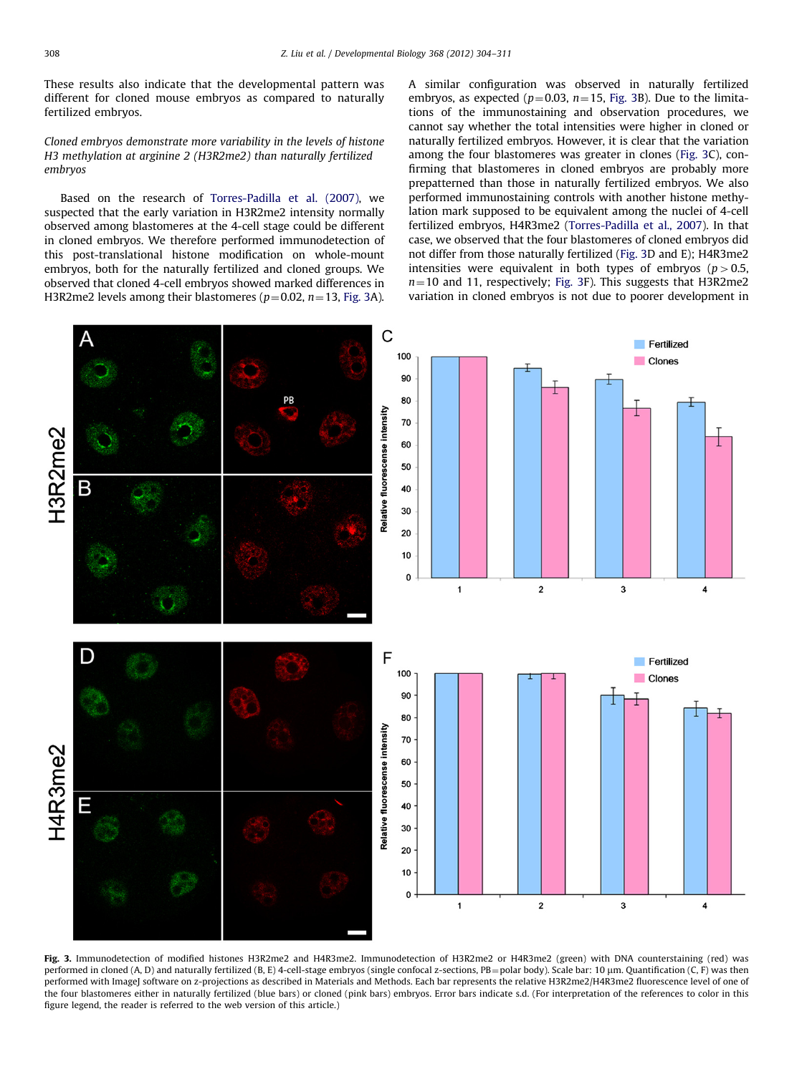These results also indicate that the developmental pattern was different for cloned mouse embryos as compared to naturally fertilized embryos.

Cloned embryos demonstrate more variability in the levels of histone H3 methylation at arginine 2 (H3R2me2) than naturally fertilized embryos

Based on the research of [Torres-Padilla et al. \(2007\),](#page-7-0) we suspected that the early variation in H3R2me2 intensity normally observed among blastomeres at the 4-cell stage could be different in cloned embryos. We therefore performed immunodetection of this post-translational histone modification on whole-mount embryos, both for the naturally fertilized and cloned groups. We observed that cloned 4-cell embryos showed marked differences in H3R2me2 levels among their blastomeres ( $p=0.02$ ,  $n=13$ , Fig. 3A). A similar configuration was observed in naturally fertilized embryos, as expected ( $p=0.03$ ,  $n=15$ , Fig. 3B). Due to the limitations of the immunostaining and observation procedures, we cannot say whether the total intensities were higher in cloned or naturally fertilized embryos. However, it is clear that the variation among the four blastomeres was greater in clones (Fig. 3C), confirming that blastomeres in cloned embryos are probably more prepatterned than those in naturally fertilized embryos. We also performed immunostaining controls with another histone methylation mark supposed to be equivalent among the nuclei of 4-cell fertilized embryos, H4R3me2 ([Torres-Padilla et al., 2007](#page-7-0)). In that case, we observed that the four blastomeres of cloned embryos did not differ from those naturally fertilized (Fig. 3D and E); H4R3me2 intensities were equivalent in both types of embryos ( $p > 0.5$ ,  $n=10$  and 11, respectively; Fig. 3F). This suggests that H3R2me2 variation in cloned embryos is not due to poorer development in



Fig. 3. Immunodetection of modified histones H3R2me2 and H4R3me2. Immunodetection of H3R2me2 or H4R3me2 (green) with DNA counterstaining (red) was performed in cloned (A, D) and naturally fertilized (B, E) 4-cell-stage embryos (single confocal z-sections, PB=polar body). Scale bar: 10 µm. Quantification (C, F) was then performed with ImageI software on z-projections as described in Materials and Methods. Each bar represents the relative H3R2me2/H4R3me2 fluorescence level of one of the four blastomeres either in naturally fertilized (blue bars) or cloned (pink bars) embryos. Error bars indicate s.d. (For interpretation of the references to color in this figure legend, the reader is referred to the web version of this article.)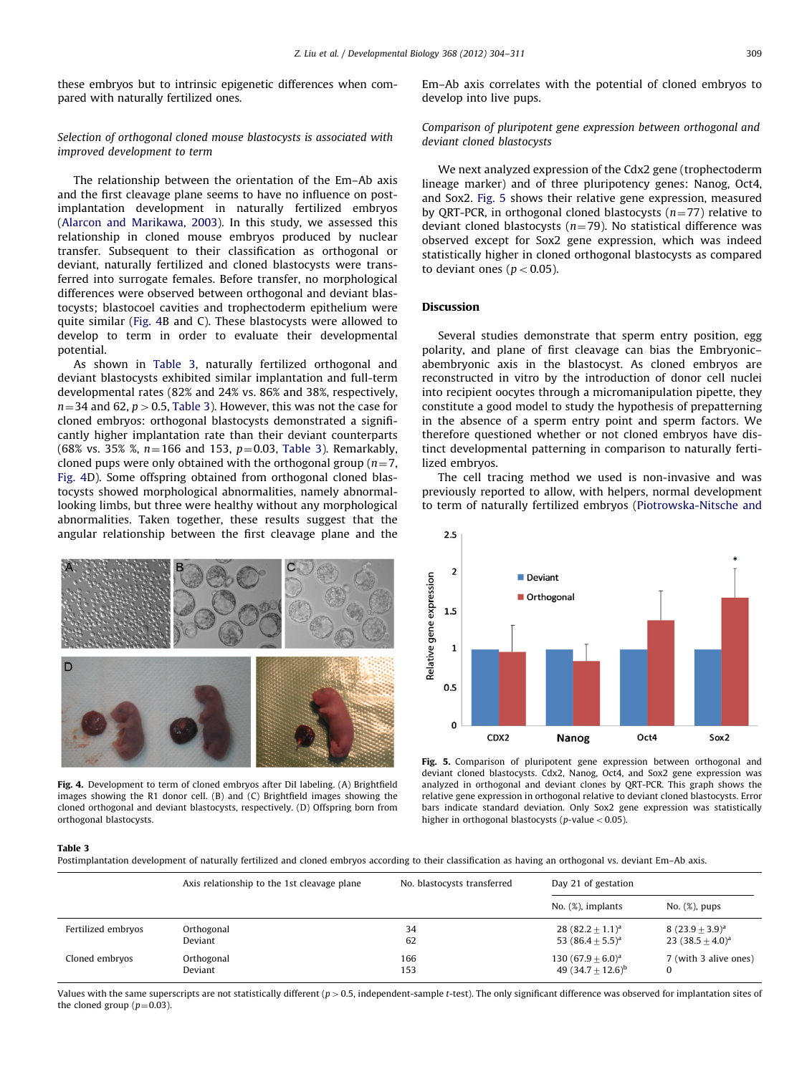these embryos but to intrinsic epigenetic differences when compared with naturally fertilized ones.

# Selection of orthogonal cloned mouse blastocysts is associated with improved development to term

The relationship between the orientation of the Em–Ab axis and the first cleavage plane seems to have no influence on postimplantation development in naturally fertilized embryos ([Alarcon and Marikawa, 2003\)](#page-6-0). In this study, we assessed this relationship in cloned mouse embryos produced by nuclear transfer. Subsequent to their classification as orthogonal or deviant, naturally fertilized and cloned blastocysts were transferred into surrogate females. Before transfer, no morphological differences were observed between orthogonal and deviant blastocysts; blastocoel cavities and trophectoderm epithelium were quite similar (Fig. 4B and C). These blastocysts were allowed to develop to term in order to evaluate their developmental potential.

As shown in Table 3, naturally fertilized orthogonal and deviant blastocysts exhibited similar implantation and full-term developmental rates (82% and 24% vs. 86% and 38%, respectively,  $n=34$  and 62,  $p>0.5$ , Table 3). However, this was not the case for cloned embryos: orthogonal blastocysts demonstrated a significantly higher implantation rate than their deviant counterparts (68% vs. 35% %,  $n=166$  and 153,  $p=0.03$ , Table 3). Remarkably, cloned pups were only obtained with the orthogonal group ( $n=7$ , Fig. 4D). Some offspring obtained from orthogonal cloned blastocysts showed morphological abnormalities, namely abnormallooking limbs, but three were healthy without any morphological abnormalities. Taken together, these results suggest that the angular relationship between the first cleavage plane and the



Fig. 4. Development to term of cloned embryos after DiI labeling. (A) Brightfield images showing the R1 donor cell. (B) and (C) Brightfield images showing the cloned orthogonal and deviant blastocysts, respectively. (D) Offspring born from orthogonal blastocysts.

Em–Ab axis correlates with the potential of cloned embryos to develop into live pups.

Comparison of pluripotent gene expression between orthogonal and deviant cloned blastocysts

We next analyzed expression of the Cdx2 gene (trophectoderm lineage marker) and of three pluripotency genes: Nanog, Oct4, and Sox2. Fig. 5 shows their relative gene expression, measured by QRT-PCR, in orthogonal cloned blastocysts ( $n=77$ ) relative to deviant cloned blastocysts ( $n=79$ ). No statistical difference was observed except for Sox2 gene expression, which was indeed statistically higher in cloned orthogonal blastocysts as compared to deviant ones ( $p < 0.05$ ).

## **Discussion**

Several studies demonstrate that sperm entry position, egg polarity, and plane of first cleavage can bias the Embryonic– abembryonic axis in the blastocyst. As cloned embryos are reconstructed in vitro by the introduction of donor cell nuclei into recipient oocytes through a micromanipulation pipette, they constitute a good model to study the hypothesis of prepatterning in the absence of a sperm entry point and sperm factors. We therefore questioned whether or not cloned embryos have distinct developmental patterning in comparison to naturally fertilized embryos.

The cell tracing method we used is non-invasive and was previously reported to allow, with helpers, normal development to term of naturally fertilized embryos [\(Piotrowska-Nitsche and](#page-7-0)



Fig. 5. Comparison of pluripotent gene expression between orthogonal and deviant cloned blastocysts. Cdx2, Nanog, Oct4, and Sox2 gene expression was analyzed in orthogonal and deviant clones by QRT-PCR. This graph shows the relative gene expression in orthogonal relative to deviant cloned blastocysts. Error bars indicate standard deviation. Only Sox2 gene expression was statistically higher in orthogonal blastocysts ( $p$ -value < 0.05).

#### Table 3

Postimplantation development of naturally fertilized and cloned embryos according to their classification as having an orthogonal vs. deviant Em–Ab axis.

|                    | Axis relationship to the 1st cleavage plane | No. blastocysts transferred | Day 21 of gestation    |                       |
|--------------------|---------------------------------------------|-----------------------------|------------------------|-----------------------|
|                    |                                             |                             | No. (%), implants      | No. $(\%)$ , pups     |
| Fertilized embryos | Orthogonal                                  | 34                          | $28 (82.2 + 1.1)^a$    | $8(23.9+3.9)^{a}$     |
|                    | Deviant                                     | 62                          | 53 $(86.4 + 5.5)^a$    | 23 $(38.5 + 4.0)^a$   |
| Cloned embryos     | Orthogonal                                  | 166                         | 130 $(67.9 \pm 6.0)^a$ | 7 (with 3 alive ones) |
|                    | Deviant                                     | 153                         | 49 $(34.7 + 12.6)^b$   | 0                     |

Values with the same superscripts are not statistically different ( $p > 0.5$ , independent-sample t-test). The only significant difference was observed for implantation sites of the cloned group  $(p=0.03)$ .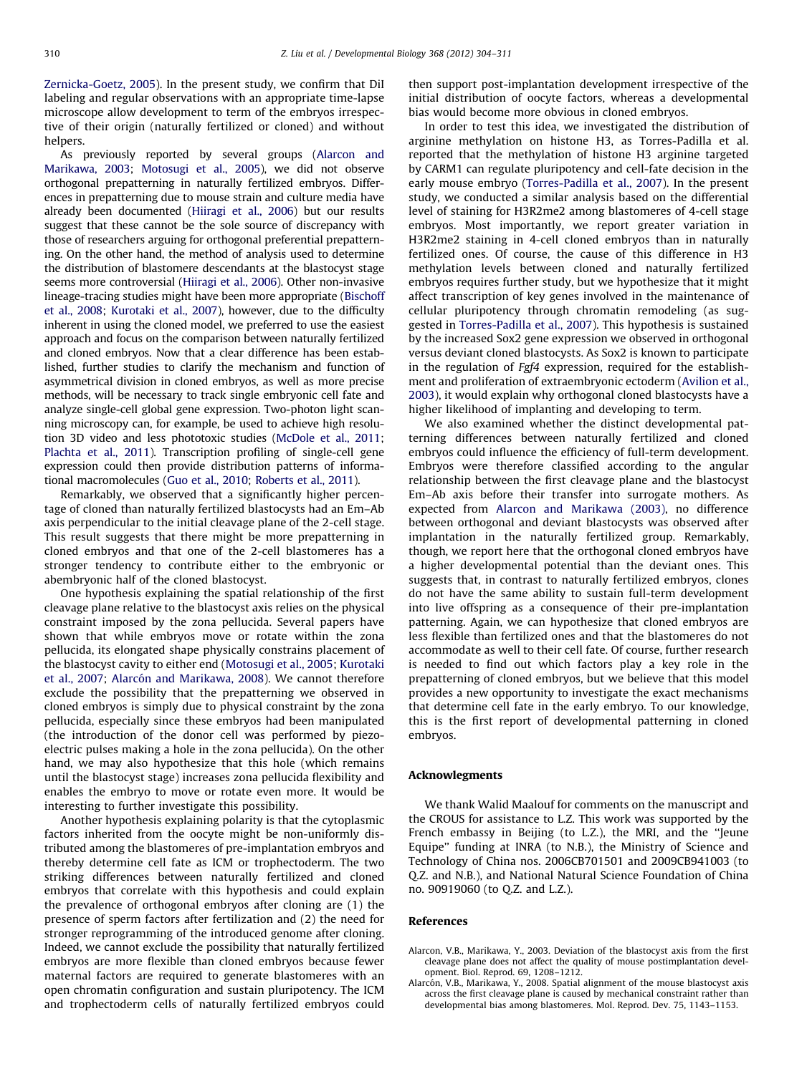<span id="page-6-0"></span>[Zernicka-Goetz, 2005\)](#page-7-0). In the present study, we confirm that DiI labeling and regular observations with an appropriate time-lapse microscope allow development to term of the embryos irrespective of their origin (naturally fertilized or cloned) and without helpers.

As previously reported by several groups (Alarcon and Marikawa, 2003; [Motosugi et al., 2005](#page-7-0)), we did not observe orthogonal prepatterning in naturally fertilized embryos. Differences in prepatterning due to mouse strain and culture media have already been documented ([Hiiragi et al., 2006\)](#page-7-0) but our results suggest that these cannot be the sole source of discrepancy with those of researchers arguing for orthogonal preferential prepatterning. On the other hand, the method of analysis used to determine the distribution of blastomere descendants at the blastocyst stage seems more controversial [\(Hiiragi et al., 2006](#page-7-0)). Other non-invasive lineage-tracing studies might have been more appropriate [\(Bischoff](#page-7-0) [et al., 2008;](#page-7-0) [Kurotaki et al., 2007](#page-7-0)), however, due to the difficulty inherent in using the cloned model, we preferred to use the easiest approach and focus on the comparison between naturally fertilized and cloned embryos. Now that a clear difference has been established, further studies to clarify the mechanism and function of asymmetrical division in cloned embryos, as well as more precise methods, will be necessary to track single embryonic cell fate and analyze single-cell global gene expression. Two-photon light scanning microscopy can, for example, be used to achieve high resolution 3D video and less phototoxic studies [\(McDole et al., 2011;](#page-7-0) [Plachta et al., 2011\)](#page-7-0). Transcription profiling of single-cell gene expression could then provide distribution patterns of informational macromolecules [\(Guo et al., 2010;](#page-7-0) [Roberts et al., 2011](#page-7-0)).

Remarkably, we observed that a significantly higher percentage of cloned than naturally fertilized blastocysts had an Em–Ab axis perpendicular to the initial cleavage plane of the 2-cell stage. This result suggests that there might be more prepatterning in cloned embryos and that one of the 2-cell blastomeres has a stronger tendency to contribute either to the embryonic or abembryonic half of the cloned blastocyst.

One hypothesis explaining the spatial relationship of the first cleavage plane relative to the blastocyst axis relies on the physical constraint imposed by the zona pellucida. Several papers have shown that while embryos move or rotate within the zona pellucida, its elongated shape physically constrains placement of the blastocyst cavity to either end ([Motosugi et al., 2005;](#page-7-0) [Kurotaki](#page-7-0) [et al., 2007](#page-7-0); Alarcón and Marikawa, 2008). We cannot therefore exclude the possibility that the prepatterning we observed in cloned embryos is simply due to physical constraint by the zona pellucida, especially since these embryos had been manipulated (the introduction of the donor cell was performed by piezoelectric pulses making a hole in the zona pellucida). On the other hand, we may also hypothesize that this hole (which remains until the blastocyst stage) increases zona pellucida flexibility and enables the embryo to move or rotate even more. It would be interesting to further investigate this possibility.

Another hypothesis explaining polarity is that the cytoplasmic factors inherited from the oocyte might be non-uniformly distributed among the blastomeres of pre-implantation embryos and thereby determine cell fate as ICM or trophectoderm. The two striking differences between naturally fertilized and cloned embryos that correlate with this hypothesis and could explain the prevalence of orthogonal embryos after cloning are (1) the presence of sperm factors after fertilization and (2) the need for stronger reprogramming of the introduced genome after cloning. Indeed, we cannot exclude the possibility that naturally fertilized embryos are more flexible than cloned embryos because fewer maternal factors are required to generate blastomeres with an open chromatin configuration and sustain pluripotency. The ICM and trophectoderm cells of naturally fertilized embryos could

then support post-implantation development irrespective of the initial distribution of oocyte factors, whereas a developmental bias would become more obvious in cloned embryos.

In order to test this idea, we investigated the distribution of arginine methylation on histone H3, as Torres-Padilla et al. reported that the methylation of histone H3 arginine targeted by CARM1 can regulate pluripotency and cell-fate decision in the early mouse embryo ([Torres-Padilla et al., 2007](#page-7-0)). In the present study, we conducted a similar analysis based on the differential level of staining for H3R2me2 among blastomeres of 4-cell stage embryos. Most importantly, we report greater variation in H3R2me2 staining in 4-cell cloned embryos than in naturally fertilized ones. Of course, the cause of this difference in H3 methylation levels between cloned and naturally fertilized embryos requires further study, but we hypothesize that it might affect transcription of key genes involved in the maintenance of cellular pluripotency through chromatin remodeling (as suggested in [Torres-Padilla et al., 2007](#page-7-0)). This hypothesis is sustained by the increased Sox2 gene expression we observed in orthogonal versus deviant cloned blastocysts. As Sox2 is known to participate in the regulation of Fgf4 expression, required for the establishment and proliferation of extraembryonic ectoderm [\(Avilion et al.,](#page-7-0) [2003\)](#page-7-0), it would explain why orthogonal cloned blastocysts have a higher likelihood of implanting and developing to term.

We also examined whether the distinct developmental patterning differences between naturally fertilized and cloned embryos could influence the efficiency of full-term development. Embryos were therefore classified according to the angular relationship between the first cleavage plane and the blastocyst Em–Ab axis before their transfer into surrogate mothers. As expected from Alarcon and Marikawa (2003), no difference between orthogonal and deviant blastocysts was observed after implantation in the naturally fertilized group. Remarkably, though, we report here that the orthogonal cloned embryos have a higher developmental potential than the deviant ones. This suggests that, in contrast to naturally fertilized embryos, clones do not have the same ability to sustain full-term development into live offspring as a consequence of their pre-implantation patterning. Again, we can hypothesize that cloned embryos are less flexible than fertilized ones and that the blastomeres do not accommodate as well to their cell fate. Of course, further research is needed to find out which factors play a key role in the prepatterning of cloned embryos, but we believe that this model provides a new opportunity to investigate the exact mechanisms that determine cell fate in the early embryo. To our knowledge, this is the first report of developmental patterning in cloned embryos.

#### Acknowlegments

We thank Walid Maalouf for comments on the manuscript and the CROUS for assistance to L.Z. This work was supported by the French embassy in Beijing (to L.Z.), the MRI, and the ''Jeune Equipe'' funding at INRA (to N.B.), the Ministry of Science and Technology of China nos. 2006CB701501 and 2009CB941003 (to Q.Z. and N.B.), and National Natural Science Foundation of China no. 90919060 (to Q.Z. and L.Z.).

## References

- Alarcon, V.B., Marikawa, Y., 2003. Deviation of the blastocyst axis from the first cleavage plane does not affect the quality of mouse postimplantation development. Biol. Reprod. 69, 1208–1212.
- Alarcón, V.B., Marikawa, Y., 2008. Spatial alignment of the mouse blastocyst axis across the first cleavage plane is caused by mechanical constraint rather than developmental bias among blastomeres. Mol. Reprod. Dev. 75, 1143–1153.